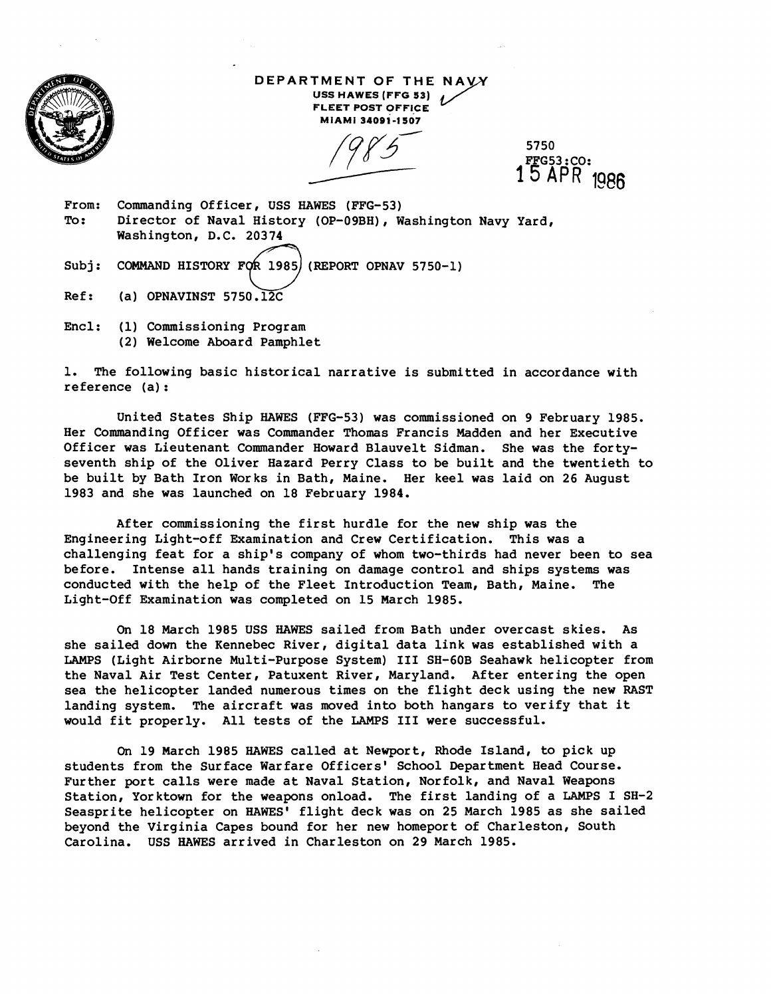

**DEPARTMENT OF THE NAYY USS HAWES [FFG 53) FLEET POST OFFICE MIAMI mosi-1507** 

5750<br>F<u>F</u>G53 : CO: 15 APR **19e6** 

- From: Commanding Officer, USS HAWES (FFG-53) To: Director of Naval History (OP-09BH), Washington Navy Yard, Washington, D.C. 20374 From: Commanding Officer, USS HAWES (FFG-53)<br>To: Director of Naval History (OP-09BH), Washington<br>Washington, D.C. 20374<br>Subj: COMMAND HISTORY FOR 1985 (REPORT OPNAV 5750-1)<br>Ref: (a) OPNAVINST 5750.12C
- 
- Ref: (a) OPNAVINST 5750.12C
- Encl: (1) Commissioning Program (2) Welcome Aboard Pamphlet

1. The following basic historical narrative is submitted in accordance with reference (a) :

United States Ship HAWES (FFG-53) was commissioned on 9 February 1985. Her Commanding Officer was Commander Thomas Francis Madden and her Executive Officer was Lieutenant Commander Howard Blauvelt Sidman. She was the fortyseventh ship of the Oliver Hazard Perry Class to be built and the twentieth to be built by Bath Iron Works in Bath, Maine. Her keel was laid on 26 August 1983 and she was launched on 18 February 1984.

After commissioning the first hurdle for the new ship was the Engineering Light-off Examination and Crew Certification. This was a challenging feat for a ship's company of whom two-thirds had never been to sea before. Intense all hands training on damage control and ships systems was conducted with the help of the Fleet Introduction Team, Bath, Maine. The Light-Off Examination was completed on 15 March 1985.

On 18 March 1985 USS HAWES sailed from Bath under overcast skies. As she sailed down the Kennebec River, digital data link was established with a LAMPS (Light Airborne Multi-Purpose System) I11 SH-60B Seahawk helicopter from the Naval Air Test Center, Patuxent River, Maryland. After entering the open sea the helicopter landed numerous times on the flight deck using the new RAST landing system. The aircraft was moved into both hangars to verify that it would fit properly. All tests of the LAMPS I11 were successful.

On 19 March 1985 HAWES called at Newport, Rhode Island, to pick up students from the Surface Warfare Officers' School Department Head Course. Further port calls were made at Naval Station, Norfolk, and Naval Weapons Station, Yorktown for the weapons onload. The first landing of a LAMPS I SH-2 Seasprite helicopter on HAWES' flight deck was on 25 March 1985 as she sailed beyond the Virginia Capes bound for her new homeport of Charleston, South Carolina. USS HAWES arrived in Charleston on 29 March 1985.